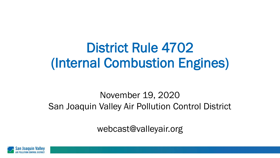# District Rule 4702 (Internal Combustion Engines)

#### November 19, 2020 San Joaquin Valley Air Pollution Control District

webcast@valleyair.org

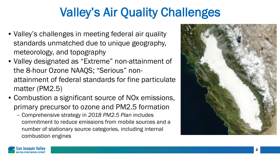#### Valley's Air Quality Challenges

- Valley's challenges in meeting federal air quality standards unmatched due to unique geography, meteorology, and topography
- Valley designated as "Extreme" non-attainment of the 8-hour Ozone NAAQS; "Serious" nonattainment of federal standards for fine particulate matter (PM2.5)
- Combustion a significant source of NOx emissions, primary precursor to ozone and PM2.5 formation
	- Comprehensive strategy in *2018 PM2.5 Plan* includes commitment to reduce emissions from mobile sources and a number of stationary source categories, including internal combustion engines



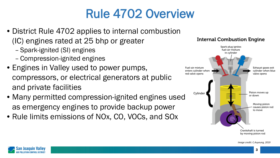## Rule 4702 Overview

- District Rule 4702 applies to internal combustion (IC) engines rated at 25 bhp or greater
	- Spark-ignited (SI) engines
	- Compression-ignited engines
- Engines in Valley used to power pumps, compressors, or electrical generators at public and private facilities
- Many permitted compression-ignited engines used as emergency engines to provide backup power
- Rule limits emissions of NOx, CO, VOCs, and SOx



**Internal Combustion Engine** 

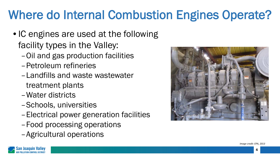## Where do Internal Combustion Engines Operate?

- IC engines are used at the following facility types in the Valley:
	- –Oil and gas production facilities
	- –Petroleum refineries
	- –Landfills and waste wastewater treatment plants
	- –Water districts
	- –Schools, universities
	- –Electrical power generation facilities
	- –Food processing operations
	- –Agricultural operations





4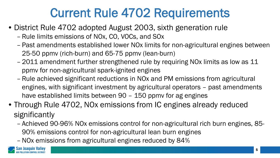### Current Rule 4702 Requirements

- District Rule 4702 adopted August 2003, sixth generation rule
	- Rule limits emissions of NOx, CO, VOCs, and SOx
	- Past amendments established lower NOx limits for non-agricultural engines between 25-50 ppmv (rich-burn) and 65-75 ppmv (lean-burn)
	- 2011 amendment further strengthened rule by requiring NOx limits as low as 11 ppmv for non-agricultural spark-ignited engines
	- Rule achieved significant reductions in NOx and PM emissions from agricultural engines, with significant investment by agricultural operators – past amendments have established limits between 90 – 150 ppmv for ag engines
- Through Rule 4702, NOx emissions from IC engines already reduced significantly
	- Achieved 90-96% NOx emissions control for non-agricultural rich burn engines, 85- 90% emissions control for non-agricultural lean burn engines
	- –NOx emissions from agricultural engines reduced by 84%

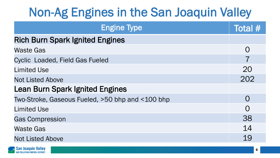#### Non-Ag Engines in the San Joaquin Valley

| <b>Engine Type</b>                               | Total #   |  |  |  |  |
|--------------------------------------------------|-----------|--|--|--|--|
| <b>Rich Burn Spark Ignited Engines</b>           |           |  |  |  |  |
| <b>Waste Gas</b>                                 | $\Omega$  |  |  |  |  |
| <b>Cyclic Loaded, Field Gas Fueled</b>           |           |  |  |  |  |
| <b>Limited Use</b>                               | 20        |  |  |  |  |
| <b>Not Listed Above</b>                          | 202       |  |  |  |  |
| <b>Lean Burn Spark Ignited Engines</b>           |           |  |  |  |  |
| Two-Stroke, Gaseous Fueled, >50 bhp and <100 bhp | $\bigcap$ |  |  |  |  |
| <b>Limited Use</b>                               | $\Omega$  |  |  |  |  |
| <b>Gas Compression</b>                           | 38        |  |  |  |  |
| <b>Waste Gas</b>                                 | 14        |  |  |  |  |
| <b>Not Listed Above</b>                          | 19        |  |  |  |  |

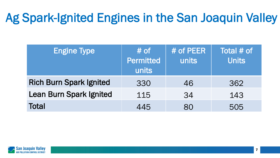### Ag Spark-Ignited Engines in the San Joaquin Valley

| <b>Engine Type</b>             | $#$ of<br><b>Permitted</b><br>units | # of PEER<br>units | Total # of<br><b>Units</b> |
|--------------------------------|-------------------------------------|--------------------|----------------------------|
| <b>Rich Burn Spark Ignited</b> | 330                                 | 46                 | 362                        |
| <b>Lean Burn Spark Ignited</b> | 115                                 | 34                 | 143                        |
| <b>Total</b>                   | 445                                 | 80                 | 505                        |

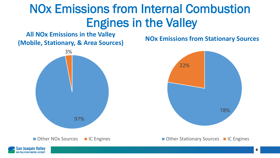#### NOx Emissions from Internal Combustion Engines in the Valley

#### **All NOx Emissions in the Valley (Mobile, Stationary, & Area Sources) NOx Emissions from Stationary Sources**





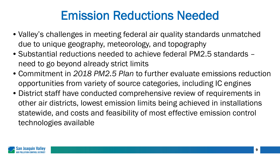#### Emission Reductions Needed

- Valley's challenges in meeting federal air quality standards unmatched due to unique geography, meteorology, and topography
- Substantial reductions needed to achieve federal PM2.5 standards need to go beyond already strict limits
- Commitment in *2018 PM2.5 Plan* to further evaluate emissions reduction opportunities from variety of source categories, including IC engines
- District staff have conducted comprehensive review of requirements in other air districts, lowest emission limits being achieved in installations statewide, and costs and feasibility of most effective emission control technologies available

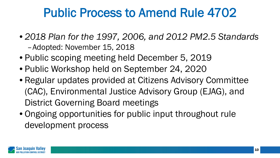#### Public Process to Amend Rule 4702

- *2018 Plan for the 1997, 2006, and 2012 PM2.5 Standards*  –Adopted: November 15, 2018
- Public scoping meeting held December 5, 2019
- Public Workshop held on September 24, 2020
- Regular updates provided at Citizens Advisory Committee (CAC), Environmental Justice Advisory Group (EJAG), and District Governing Board meetings
- Ongoing opportunities for public input throughout rule development process

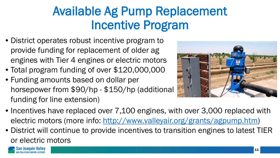#### Available Ag Pump Replacement Incentive Program

- District operates robust incentive program to provide funding for replacement of older ag engines with Tier 4 engines or electric motors
- Total program funding of over \$120,000,000
- Funding amounts based on dollar per horsepower from \$90/hp - \$150/hp (additional funding for line extension)



- Incentives have replaced over 7,100 engines, with over 3,000 replaced with electric motors (more info: [http://www.valleyair.org/grants/agpump.htm\)](http://www.valleyair.org/grants/agpump.htm)
- District will continue to provide incentives to transition engines to latest TIER or electric motors

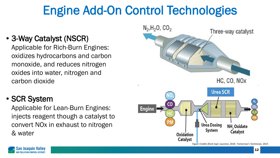### Engine Add-On Control Technologies

#### • 3-Way Catalyst (NSCR)

Applicable for Rich-Burn Engines: oxidizes hydrocarbons and carbon monoxide, and reduces nitrogen oxides into water, nitrogen and carbon dioxide

#### • SCR System

Applicable for Lean-Burn Engines: injects reagent though a catalyst to convert NOx in exhaust to nitrogen & water



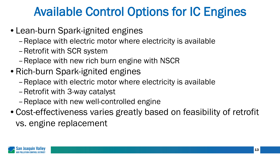#### Available Control Options for IC Engines

- Lean-burn Spark-ignited engines
	- –Replace with electric motor where electricity is available
	- –Retrofit with SCR system
	- –Replace with new rich burn engine with NSCR
- Rich-burn Spark-ignited engines
	- –Replace with electric motor where electricity is available
	- –Retrofit with 3-way catalyst
	- –Replace with new well-controlled engine
- Cost-effectiveness varies greatly based on feasibility of retrofit vs. engine replacement

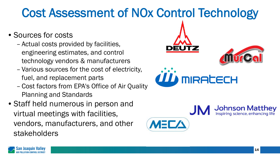### Cost Assessment of NOx Control Technology

- Sources for costs
	- Actual costs provided by facilities, engineering estimates, and control technology vendors & manufacturers
	- Various sources for the cost of electricity, fuel, and replacement parts
	- Cost factors from EPA's Office of Air Quality Planning and Standards
- Staff held numerous in person and virtual meetings with facilities, vendors, manufacturers, and other stakeholders





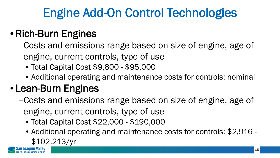# Engine Add-On Control Technologies

#### •Rich-Burn Engines

- –Costs and emissions range based on size of engine, age of engine, current controls, type of use
	- Total Capital Cost \$9,800 \$95,000
	- Additional operating and maintenance costs for controls: nominal

#### • Lean-Burn Engines

- –Costs and emissions range based on size of engine, age of engine, current controls, type of use
	- Total Capital Cost \$22,000 \$190,000
	- Additional operating and maintenance costs for controls: \$2,916 \$102,213/yr

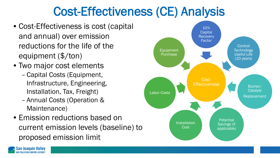#### Cost-Effectiveness (CE) Analysis

- Cost-Effectiveness is cost (capital and annual) over emission reductions for the life of the equipment (\$/ton)
- Two major cost elements
	- Capital Costs (Equipment, Infrastructure, Engineering, Installation, Tax, Freight)
	- Annual Costs (Operation & Maintenance)
- Emission reductions based on current emission levels (baseline) to proposed emission limit



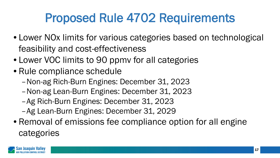#### Proposed Rule 4702 Requirements

- Lower NOx limits for various categories based on technological feasibility and cost-effectiveness
- Lower VOC limits to 90 ppmy for all categories
- Rule compliance schedule
	- –Non-ag Rich-Burn Engines: December 31, 2023
	- –Non-ag Lean-Burn Engines: December 31, 2023
	- –Ag Rich-Burn Engines: December 31, 2023
	- –Ag Lean-Burn Engines: December 31, 2029
- Removal of emissions fee compliance option for all engine categories

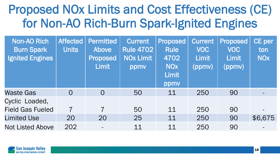#### Proposed NOx Limits and Cost Effectiveness (CE) for Non-AO Rich-Burn Spark-Ignited Engines

| <b>Non-AO Rich</b><br><b>Burn Spark</b><br><b>Ignited Engines</b> | <b>Affected</b><br><b>Units</b> | <b>Permitted</b><br>Above<br><b>Proposed</b><br><b>Limit</b> | <b>Current</b><br><b>Rule 4702</b><br><b>NOx Limit</b><br>ppmy | <b>Proposed</b><br><b>Rule</b><br>4702<br><b>NOX</b><br><b>Limit</b><br>ppmv | <b>Current</b><br><b>VOC</b><br><b>Limit</b><br>(ppmv) | <b>Proposed</b><br><b>VOC</b><br><b>Limit</b><br>(ppmv) | <b>CE</b> per<br>ton<br><b>NO<sub>X</sub></b> |
|-------------------------------------------------------------------|---------------------------------|--------------------------------------------------------------|----------------------------------------------------------------|------------------------------------------------------------------------------|--------------------------------------------------------|---------------------------------------------------------|-----------------------------------------------|
| <b>Waste Gas</b>                                                  | $\overline{O}$                  | $\overline{O}$                                               | 50                                                             | 11                                                                           | 250                                                    | 90                                                      |                                               |
| Cyclic Loaded,<br><b>Field Gas Fueled</b>                         | $\overline{7}$                  | $\overline{7}$                                               | 50                                                             | 11                                                                           | 250                                                    | 90                                                      |                                               |
| <b>Limited Use</b>                                                | 20                              | 20                                                           | 25                                                             | 11                                                                           | 250                                                    | 90                                                      | \$6,675                                       |
| <b>Not Listed Above</b>                                           | 202                             |                                                              | 11                                                             | 11                                                                           | 250                                                    | 90                                                      |                                               |

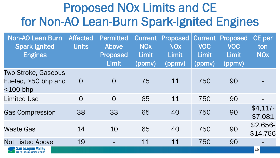#### Proposed NOx Limits and CE for Non-AO Lean-Burn Spark-Ignited Engines

| <b>Non-AO Lean Burn</b><br><b>Spark Ignited</b><br><b>Engines</b> | <b>Affected</b><br><b>Units</b> | <b>Permitted</b><br>Above<br><b>Proposed</b><br><b>Limit</b> | <b>Current</b><br><b>NO<sub>X</sub></b><br><b>Limit</b><br>(ppmv) | Proposed<br><b>NO<sub>X</sub></b><br>Limit<br>(ppmv) | <b>Current</b><br><b>VOC</b><br><b>Limit</b><br>(ppmv) | Proposed<br><b>VOC</b><br><b>Limit</b><br>(ppmv) | CE per<br>ton<br><b>NO<sub>X</sub></b> |
|-------------------------------------------------------------------|---------------------------------|--------------------------------------------------------------|-------------------------------------------------------------------|------------------------------------------------------|--------------------------------------------------------|--------------------------------------------------|----------------------------------------|
| <b>Two-Stroke, Gaseous</b><br>Fueled, >50 bhp and<br>$<$ 100 bhp  | $\overline{O}$                  | $\overline{O}$                                               | 75                                                                | 11                                                   | 750                                                    | 90                                               |                                        |
| <b>Limited Use</b>                                                | $\overline{O}$                  | $\overline{O}$                                               | 65                                                                | 11                                                   | 750                                                    | 90                                               |                                        |
| <b>Gas Compression</b>                                            | 38                              | 33                                                           | 65                                                                | 40                                                   | 750                                                    | 90                                               | $$4,117-$<br>\$7,081                   |
| <b>Waste Gas</b>                                                  | 14                              | 10                                                           | 65                                                                | 40                                                   | 750                                                    | 90                                               | \$2,656<br>\$14,766                    |
| <b>Not Listed Above</b>                                           | 19                              | $\equiv$                                                     | 11                                                                | 11                                                   | 750                                                    | 90                                               |                                        |
| San Joaquin Valley                                                |                                 |                                                              |                                                                   |                                                      |                                                        |                                                  | 19                                     |

LLUTION CONTROL DIST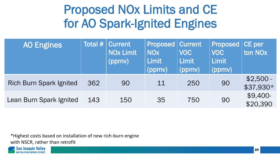#### Proposed NOx Limits and CE for AO Spark-Ignited Engines

| <b>AO Engines</b>              | Total $#$ | <b>Current</b><br><b>NOx Limit</b><br>(ppmv) | <b>Proposed Current</b><br><b>NO<sub>x</sub></b><br><b>Limit</b><br>(ppmv) | <b>VOC</b><br><b>Limit</b><br>(ppmv) | <b>Proposed</b><br><b>VOC</b><br><b>Limit</b><br>(ppmv) | CE per<br>ton NO <sub>x</sub> |
|--------------------------------|-----------|----------------------------------------------|----------------------------------------------------------------------------|--------------------------------------|---------------------------------------------------------|-------------------------------|
| <b>Rich Burn Spark Ignited</b> | 362       | 90                                           | 11                                                                         | 250                                  | 90                                                      | $$2,500 -$<br>\$37,930*       |
| Lean Burn Spark Ignited        | 143       | 150                                          | 35                                                                         | 750                                  | 90                                                      | $$9,400-$<br>\$20,390         |

\*Highest costs based on installation of new rich-burn engine with NSCR, rather than retrofit

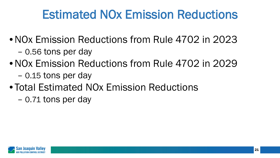### Estimated NOx Emission Reductions

• NOx Emission Reductions from Rule 4702 in 2023

- 0.56 tons per day
- NOx Emission Reductions from Rule 4702 in 2029
	- 0.15 tons per day
- Total Estimated NOx Emission Reductions
	- 0.71 tons per day

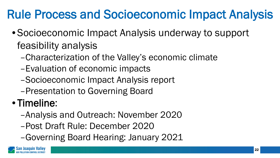# Rule Process and Socioeconomic Impact Analysis

- Socioeconomic Impact Analysis underway to support feasibility analysis
	- –Characterization of the Valley's economic climate
	- –Evaluation of economic impacts
	- –Socioeconomic Impact Analysis report
	- –Presentation to Governing Board

#### • Timeline:

- –Analysis and Outreach: November 2020
- –Post Draft Rule: December 2020
- –Governing Board Hearing: January 2021

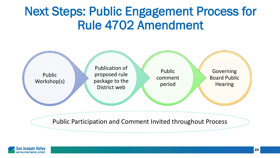#### Next Steps: Public Engagement Process for Rule 4702 Amendment



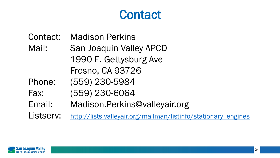#### **Contact**

- Contact: Madison Perkins
- Mail: San Joaquin Valley APCD 1990 E. Gettysburg Ave Fresno, CA 93726
- Phone: (559) 230-5984
- Fax: (559) 230-6064
- Email: Madison.Perkins@valleyair.org

Listserv: [http://lists.valleyair.org/mailman/listinfo/stationary\\_engines](http://lists.valleyair.org/mailman/listinfo/stationary_engines)